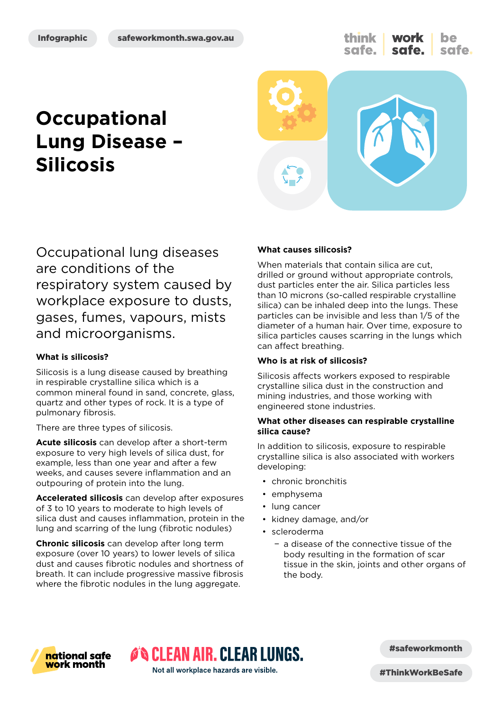think **work** be safe. safe.

# **Occupational Lung Disease – Silicosis**



Occupational lung diseases are conditions of the respiratory system caused by workplace exposure to dusts, gases, fumes, vapours, mists and microorganisms.

#### **What is silicosis?**

Silicosis is a lung disease caused by breathing in respirable crystalline silica which is a common mineral found in sand, concrete, glass, quartz and other types of rock. It is a type of pulmonary fibrosis.

There are three types of silicosis.

**Acute silicosis** can develop after a short-term exposure to very high levels of silica dust, for example, less than one year and after a few weeks, and causes severe inflammation and an outpouring of protein into the lung.

**Accelerated silicosis** can develop after exposures of 3 to 10 years to moderate to high levels of silica dust and causes inflammation, protein in the lung and scarring of the lung (fibrotic nodules)

**Chronic silicosis** can develop after long term exposure (over 10 years) to lower levels of silica dust and causes fibrotic nodules and shortness of breath. It can include progressive massive fibrosis where the fibrotic nodules in the lung aggregate.

#### **What causes silicosis?**

When materials that contain silica are cut. drilled or ground without appropriate controls, dust particles enter the air. Silica particles less than 10 microns (so-called respirable crystalline silica) can be inhaled deep into the lungs. These particles can be invisible and less than 1/5 of the diameter of a human hair. Over time, exposure to silica particles causes scarring in the lungs which can affect breathing.

#### **Who is at risk of silicosis?**

Silicosis affects workers exposed to respirable crystalline silica dust in the construction and mining industries, and those working with engineered stone industries.

#### **What other diseases can respirable crystalline silica cause?**

In addition to silicosis, exposure to respirable crystalline silica is also associated with workers developing:

- chronic bronchitis
- emphysema
- lung cancer
- kidney damage, and/or
- scleroderma
	- − a disease of the connective tissue of the body resulting in the formation of scar tissue in the skin, joints and other organs of the body.



#safeworkmonth

Not all workplace hazards are visible.

ON CLEAN AIR. CLEAR LUNGS.

#ThinkWorkBeSafe